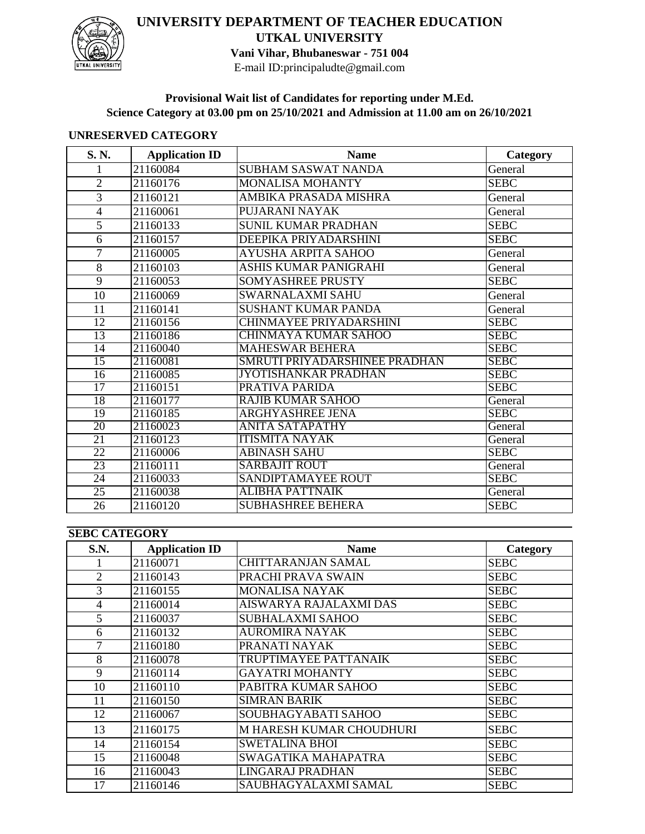

## **UNIVERSITY DEPARTMENT OF TEACHER EDUCATION UTKAL UNIVERSITY Vani Vihar, Bhubaneswar - 751 004**

E-mail ID:principaludte@gmail.com

**Provisional Wait list of Candidates for reporting under M.Ed. Science Category at 03.00 pm on 25/10/2021 and Admission at 11.00 am on 26/10/2021**

## **UNRESERVED CATEGORY**

| S. N.           | <b>Application ID</b> | <b>Name</b>                    | Category    |
|-----------------|-----------------------|--------------------------------|-------------|
| 1               | 21160084              | <b>SUBHAM SASWAT NANDA</b>     | General     |
| $\overline{2}$  | 21160176              | <b>MONALISA MOHANTY</b>        | <b>SEBC</b> |
| 3               | 21160121              | AMBIKA PRASADA MISHRA          | General     |
| $\overline{4}$  | 21160061              | PUJARANI NAYAK                 | General     |
| 5               | 21160133              | <b>SUNIL KUMAR PRADHAN</b>     | <b>SEBC</b> |
| 6               | 21160157              | DEEPIKA PRIYADARSHINI          | <b>SEBC</b> |
| 7               | 21160005              | <b>AYUSHA ARPITA SAHOO</b>     | General     |
| 8               | 21160103              | ASHIS KUMAR PANIGRAHI          | General     |
| $\overline{9}$  | 21160053              | <b>SOMYASHREE PRUSTY</b>       | <b>SEBC</b> |
| 10              | 21160069              | SWARNALAXMI SAHU               | General     |
| 11              | 21160141              | <b>SUSHANT KUMAR PANDA</b>     | General     |
| 12              | 21160156              | <b>CHINMAYEE PRIYADARSHINI</b> | <b>SEBC</b> |
| 13              | 21160186              | CHINMAYA KUMAR SAHOO           | <b>SEBC</b> |
| $\overline{14}$ | 21160040              | <b>MAHESWAR BEHERA</b>         | <b>SEBC</b> |
| 15              | 21160081              | SMRUTI PRIYADARSHINEE PRADHAN  | <b>SEBC</b> |
| $\overline{16}$ | 21160085              | <b>JYOTISHANKAR PRADHAN</b>    | <b>SEBC</b> |
| $\overline{17}$ | 21160151              | PRATIVA PARIDA                 | <b>SEBC</b> |
| 18              | 21160177              | <b>RAJIB KUMAR SAHOO</b>       | General     |
| $\overline{19}$ | 21160185              | <b>ARGHYASHREE JENA</b>        | <b>SEBC</b> |
| $\overline{20}$ | 21160023              | ANITA SATAPATHY                | General     |
| $\overline{21}$ | 21160123              | <b>ITISMITA NAYAK</b>          | General     |
| 22              | 21160006              | <b>ABINASH SAHU</b>            | <b>SEBC</b> |
| 23              | 21160111              | <b>SARBAJIT ROUT</b>           | General     |
| $\overline{24}$ | 21160033              | <b>SANDIPTAMAYEE ROUT</b>      | <b>SEBC</b> |
| $\overline{25}$ | 21160038              | <b>ALIBHA PATTNAIK</b>         | General     |
| 26              | 21160120              | <b>SUBHASHREE BEHERA</b>       | <b>SEBC</b> |

| <b>SEBC CATEGORY</b> |                       |                           |             |  |  |
|----------------------|-----------------------|---------------------------|-------------|--|--|
| S.N.                 | <b>Application ID</b> | <b>Name</b>               | Category    |  |  |
|                      | 21160071              | <b>CHITTARANJAN SAMAL</b> | <b>SEBC</b> |  |  |
| $\overline{2}$       | 21160143              | PRACHI PRAVA SWAIN        | <b>SEBC</b> |  |  |
| 3                    | 21160155              | <b>MONALISA NAYAK</b>     | <b>SEBC</b> |  |  |
| 4                    | 21160014              | AISWARYA RAJALAXMI DAS    | <b>SEBC</b> |  |  |
| 5                    | 21160037              | <b>SUBHALAXMI SAHOO</b>   | <b>SEBC</b> |  |  |
| 6                    | 21160132              | <b>AUROMIRA NAYAK</b>     | <b>SEBC</b> |  |  |
|                      | 21160180              | PRANATI NAYAK             | <b>SEBC</b> |  |  |
| 8                    | 21160078              | TRUPTIMAYEE PATTANAIK     | <b>SEBC</b> |  |  |
| 9                    | 21160114              | <b>GAYATRI MOHANTY</b>    | <b>SEBC</b> |  |  |
| 10                   | 21160110              | PABITRA KUMAR SAHOO       | <b>SEBC</b> |  |  |
| 11                   | 21160150              | <b>SIMRAN BARIK</b>       | <b>SEBC</b> |  |  |
| 12                   | 21160067              | SOUBHAGYABATI SAHOO       | <b>SEBC</b> |  |  |
| 13                   | 21160175              | M HARESH KUMAR CHOUDHURI  | <b>SEBC</b> |  |  |
| 14                   | 21160154              | <b>SWETALINA BHOI</b>     | <b>SEBC</b> |  |  |
| 15                   | 21160048              | SWAGATIKA MAHAPATRA       | <b>SEBC</b> |  |  |
| 16                   | 21160043              | LINGARAJ PRADHAN          | <b>SEBC</b> |  |  |
| 17                   | 21160146              | SAUBHAGYALAXMI SAMAL      | <b>SEBC</b> |  |  |